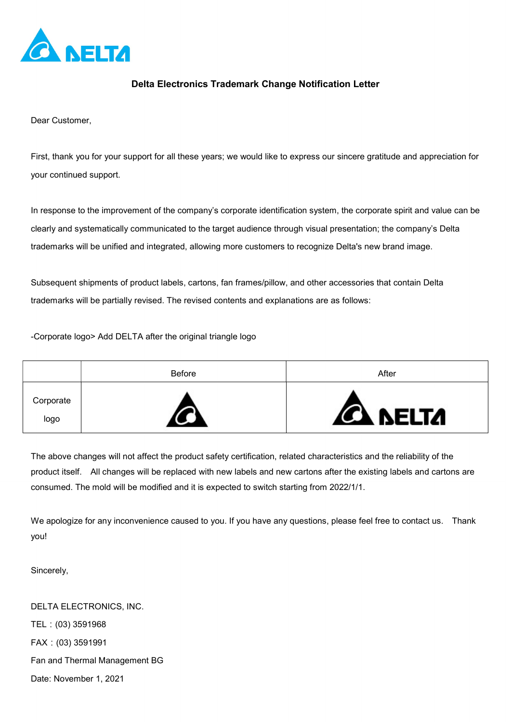

## Delta Electronics Trademark Change Notification Letter

Dear Customer,

First, thank you for your support for all these years; we would like to express our sincere gratitude and appreciation for your continued support.

In response to the improvement of the company's corporate identification system, the corporate spirit and value can be clearly and systematically communicated to the target audience through visual presentation; the company's Delta trademarks will be unified and integrated, allowing more customers to recognize Delta's new brand image.

Subsequent shipments of product labels, cartons, fan frames/pillow, and other accessories that contain Delta trademarks will be partially revised. The revised contents and explanations are as follows:

-Corporate logo> Add DELTA after the original triangle logo

|                   | Before | After           |
|-------------------|--------|-----------------|
| Corporate<br>logo |        | <b>CA NELTA</b> |

The above changes will not affect the product safety certification, related characteristics and the reliability of the product itself. All changes will be replaced with new labels and new cartons after the existing labels and cartons are consumed. The mold will be modified and it is expected to switch starting from 2022/1/1.

We apologize for any inconvenience caused to you. If you have any questions, please feel free to contact us. Thank you!

Sincerely,

DELTA ELECTRONICS, INC. TEL:(03) 3591968 FAX:(03) 3591991 Fan and Thermal Management BG Date: November 1, 2021